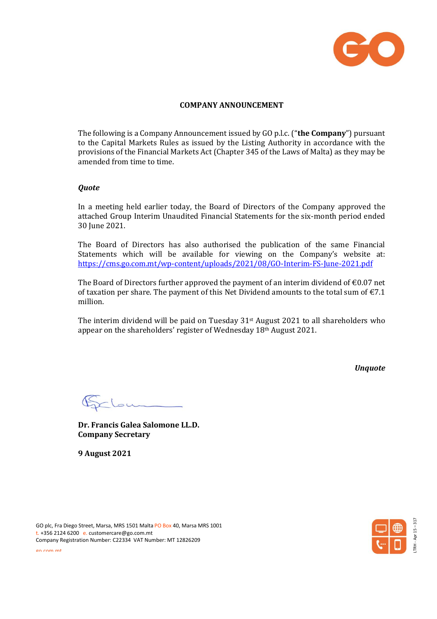

### **COMPANY ANNOUNCEMENT**

The following is a Company Announcement issued by GO p.l.c. ("**the Company**") pursuant to the Capital Markets Rules as issued by the Listing Authority in accordance with the provisions of the Financial Markets Act (Chapter 345 of the Laws of Malta) as they may be amended from time to time.

#### *Quote*

In a meeting held earlier today, the Board of Directors of the Company approved the attached Group Interim Unaudited Financial Statements for the six-month period ended 30 June 2021.

The Board of Directors has also authorised the publication of the same Financial Statements which will be available for viewing on the Company's website at: <https://cms.go.com.mt/wp-content/uploads/2021/08/GO-Interim-FS-June-2021.pdf>

The Board of Directors further approved the payment of an interim dividend of  $\epsilon$ 0.07 net of taxation per share. The payment of this Net Dividend amounts to the total sum of  $\epsilon$ 7.1 million.

The interim dividend will be paid on Tuesday 31st August 2021 to all shareholders who appear on the shareholders' register of Wednesday 18th August 2021.

*Unquote*

Gelow

**Dr. Francis Galea Salomone LL.D. Company Secretary**

**9 August 2021**





go.com.mt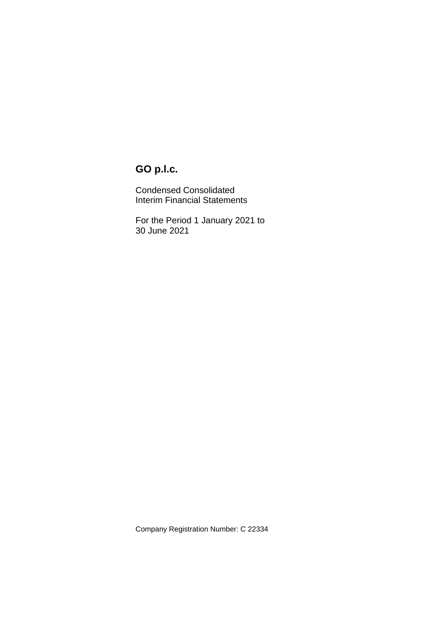Condensed Consolidated Interim Financial Statements

For the Period 1 January 2021 to 30 June 2021

Company Registration Number: C 22334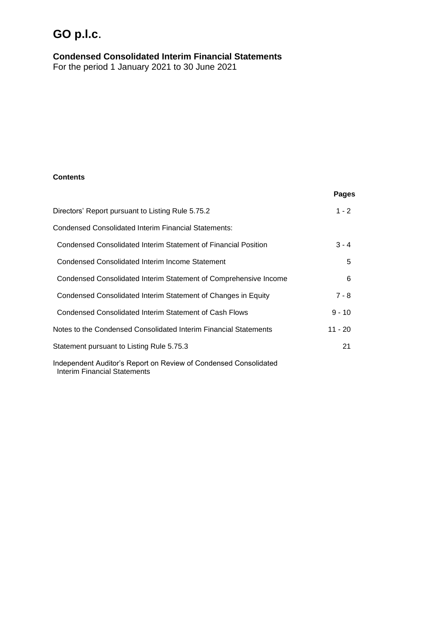**Condensed Consolidated Interim Financial Statements**

For the period 1 January 2021 to 30 June 2021

### **Contents**

|                                                                                                         | Pages     |
|---------------------------------------------------------------------------------------------------------|-----------|
| Directors' Report pursuant to Listing Rule 5.75.2                                                       | $1 - 2$   |
| <b>Condensed Consolidated Interim Financial Statements:</b>                                             |           |
| Condensed Consolidated Interim Statement of Financial Position                                          | $3 - 4$   |
| Condensed Consolidated Interim Income Statement                                                         | 5         |
| Condensed Consolidated Interim Statement of Comprehensive Income                                        | 6         |
| Condensed Consolidated Interim Statement of Changes in Equity                                           | $7 - 8$   |
| Condensed Consolidated Interim Statement of Cash Flows                                                  | $9 - 10$  |
| Notes to the Condensed Consolidated Interim Financial Statements                                        | $11 - 20$ |
| Statement pursuant to Listing Rule 5.75.3                                                               | 21        |
| Independent Auditor's Report on Review of Condensed Consolidated<br><b>Interim Financial Statements</b> |           |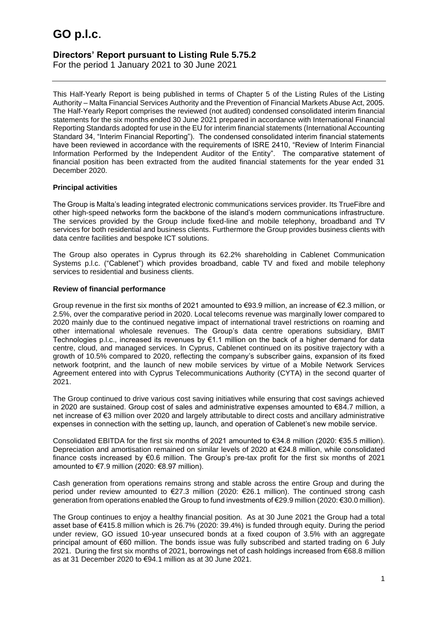## **Directors' Report pursuant to Listing Rule 5.75.2**

For the period 1 January 2021 to 30 June 2021

This Half-Yearly Report is being published in terms of Chapter 5 of the Listing Rules of the Listing Authority – Malta Financial Services Authority and the Prevention of Financial Markets Abuse Act, 2005. The Half-Yearly Report comprises the reviewed (not audited) condensed consolidated interim financial statements for the six months ended 30 June 2021 prepared in accordance with International Financial Reporting Standards adopted for use in the EU for interim financial statements (International Accounting Standard 34, "Interim Financial Reporting"). The condensed consolidated interim financial statements have been reviewed in accordance with the requirements of ISRE 2410, "Review of Interim Financial Information Performed by the Independent Auditor of the Entity". The comparative statement of financial position has been extracted from the audited financial statements for the year ended 31 December 2020.

### **Principal activities**

The Group is Malta's leading integrated electronic communications services provider. Its TrueFibre and other high-speed networks form the backbone of the island's modern communications infrastructure. The services provided by the Group include fixed-line and mobile telephony, broadband and TV services for both residential and business clients. Furthermore the Group provides business clients with data centre facilities and bespoke ICT solutions.

The Group also operates in Cyprus through its 62.2% shareholding in Cablenet Communication Systems p.l.c. ("Cablenet") which provides broadband, cable TV and fixed and mobile telephony services to residential and business clients.

### **Review of financial performance**

Group revenue in the first six months of 2021 amounted to €93.9 million, an increase of €2.3 million, or 2.5%, over the comparative period in 2020. Local telecoms revenue was marginally lower compared to 2020 mainly due to the continued negative impact of international travel restrictions on roaming and other international wholesale revenues. The Group's data centre operations subsidiary, BMIT Technologies p.l.c., increased its revenues by €1.1 million on the back of a higher demand for data centre, cloud, and managed services. In Cyprus, Cablenet continued on its positive trajectory with a growth of 10.5% compared to 2020, reflecting the company's subscriber gains, expansion of its fixed network footprint, and the launch of new mobile services by virtue of a Mobile Network Services Agreement entered into with Cyprus Telecommunications Authority (CYTA) in the second quarter of 2021.

The Group continued to drive various cost saving initiatives while ensuring that cost savings achieved in 2020 are sustained. Group cost of sales and administrative expenses amounted to €84.7 million, a net increase of €3 million over 2020 and largely attributable to direct costs and ancillary administrative expenses in connection with the setting up, launch, and operation of Cablenet's new mobile service.

Consolidated EBITDA for the first six months of 2021 amounted to €34.8 million (2020: €35.5 million). Depreciation and amortisation remained on similar levels of 2020 at €24.8 million, while consolidated finance costs increased by €0.6 million. The Group's pre-tax profit for the first six months of 2021 amounted to €7.9 million (2020: €8.97 million).

Cash generation from operations remains strong and stable across the entire Group and during the period under review amounted to €27.3 million (2020: €26.1 million). The continued strong cash generation from operations enabled the Group to fund investments of €29.9 million (2020: €30.0 million).

The Group continues to enjoy a healthy financial position. As at 30 June 2021 the Group had a total asset base of €415.8 million which is 26.7% (2020: 39.4%) is funded through equity. During the period under review, GO issued 10-year unsecured bonds at a fixed coupon of 3.5% with an aggregate principal amount of €60 million. The bonds issue was fully subscribed and started trading on 6 July 2021. During the first six months of 2021, borrowings net of cash holdings increased from €68.8 million as at 31 December 2020 to €94.1 million as at 30 June 2021.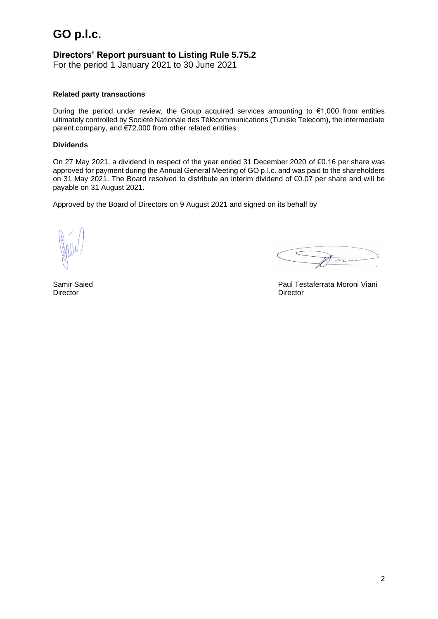## **Directors' Report pursuant to Listing Rule 5.75.2**

For the period 1 January 2021 to 30 June 2021

#### **Related party transactions**

During the period under review, the Group acquired services amounting to  $\epsilon$ 1,000 from entities ultimately controlled by Société Nationale des Télécommunications (Tunisie Telecom), the intermediate parent company, and €72,000 from other related entities.

### **Dividends**

On 27 May 2021, a dividend in respect of the year ended 31 December 2020 of €0.16 per share was approved for payment during the Annual General Meeting of GO p.l.c. and was paid to the shareholders on 31 May 2021. The Board resolved to distribute an interim dividend of €0.07 per share and will be payable on 31 August 2021.

Approved by the Board of Directors on 9 August 2021 and signed on its behalf by

 $\overline{ }$ 

Samir Saied **Paul Testaferrata Moroni Viani** 

Director Director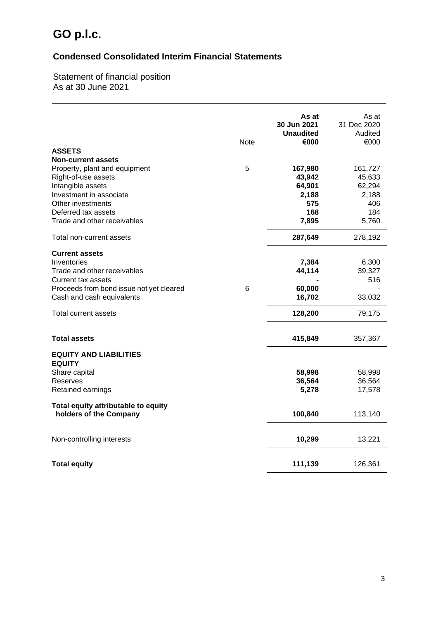## **Condensed Consolidated Interim Financial Statements**

Statement of financial position As at 30 June 2021

| <b>ASSETS</b>                                                                                                                                                                                                | <b>Note</b> | As at<br>30 Jun 2021<br><b>Unaudited</b><br>€000            | As at<br>31 Dec 2020<br>Audited<br>€000                     |
|--------------------------------------------------------------------------------------------------------------------------------------------------------------------------------------------------------------|-------------|-------------------------------------------------------------|-------------------------------------------------------------|
| <b>Non-current assets</b><br>Property, plant and equipment<br>Right-of-use assets<br>Intangible assets<br>Investment in associate<br>Other investments<br>Deferred tax assets<br>Trade and other receivables | 5           | 167,980<br>43,942<br>64,901<br>2,188<br>575<br>168<br>7,895 | 161,727<br>45,633<br>62,294<br>2,188<br>406<br>184<br>5,760 |
| Total non-current assets                                                                                                                                                                                     |             | 287,649                                                     | 278,192                                                     |
| <b>Current assets</b><br>Inventories<br>Trade and other receivables<br>Current tax assets<br>Proceeds from bond issue not yet cleared<br>Cash and cash equivalents                                           | 6           | 7,384<br>44,114<br>60,000<br>16,702                         | 6,300<br>39,327<br>516<br>33,032                            |
| Total current assets                                                                                                                                                                                         |             | 128,200                                                     | 79,175                                                      |
| <b>Total assets</b><br><b>EQUITY AND LIABILITIES</b>                                                                                                                                                         |             | 415,849                                                     | 357,367                                                     |
| <b>EQUITY</b><br>Share capital<br>Reserves<br>Retained earnings                                                                                                                                              |             | 58,998<br>36,564<br>5,278                                   | 58,998<br>36,564<br>17,578                                  |
| Total equity attributable to equity<br>holders of the Company                                                                                                                                                |             | 100,840                                                     | 113,140                                                     |
| Non-controlling interests                                                                                                                                                                                    |             | 10,299                                                      | 13,221                                                      |
| <b>Total equity</b>                                                                                                                                                                                          |             | 111,139                                                     | 126,361                                                     |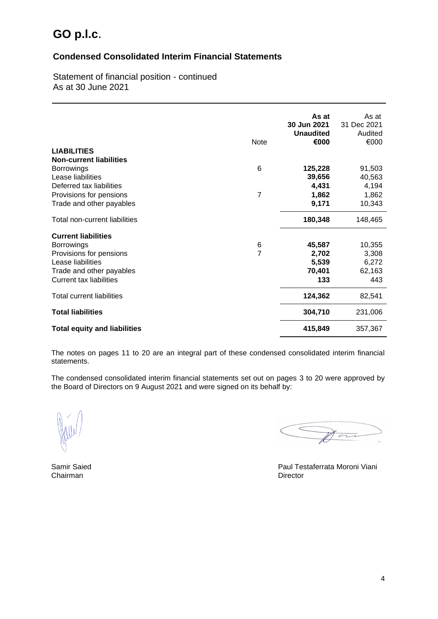### **Condensed Consolidated Interim Financial Statements**

Statement of financial position - continued As at 30 June 2021

|                                     |                | As at<br>30 Jun 2021<br><b>Unaudited</b> | As at<br>31 Dec 2021<br>Audited |
|-------------------------------------|----------------|------------------------------------------|---------------------------------|
|                                     | <b>Note</b>    | €000                                     | €000                            |
| <b>LIABILITIES</b>                  |                |                                          |                                 |
| <b>Non-current liabilities</b>      |                |                                          |                                 |
| <b>Borrowings</b>                   | 6              | 125,228                                  | 91,503                          |
| Lease liabilities                   |                | 39,656                                   | 40,563                          |
| Deferred tax liabilities            | $\overline{7}$ | 4,431                                    | 4,194                           |
| Provisions for pensions             |                | 1,862                                    | 1,862                           |
| Trade and other payables            |                | 9,171                                    | 10,343                          |
| Total non-current liabilities       |                | 180,348                                  | 148,465                         |
| <b>Current liabilities</b>          |                |                                          |                                 |
| <b>Borrowings</b>                   | 6              | 45,587                                   | 10,355                          |
| Provisions for pensions             | $\overline{7}$ | 2,702                                    | 3,308                           |
| Lease liabilities                   |                | 5,539                                    | 6,272                           |
| Trade and other payables            |                | 70,401                                   | 62,163                          |
| <b>Current tax liabilities</b>      |                | 133                                      | 443                             |
| <b>Total current liabilities</b>    |                | 124,362                                  | 82,541                          |
| <b>Total liabilities</b>            |                | 304,710                                  | 231,006                         |
| <b>Total equity and liabilities</b> |                | 415,849                                  | 357,367                         |

The notes on pages 11 to 20 are an integral part of these condensed consolidated interim financial statements.

The condensed consolidated interim financial statements set out on pages 3 to 20 were approved by the Board of Directors on 9 August 2021 and were signed on its behalf by:

 $\sqrt{a}$ 

Chairman

Samir Saied **Paul Testaferrata Moroni Viani**<br>
Chairman **Paul Testaferrata Moroni Viani**<br>
Director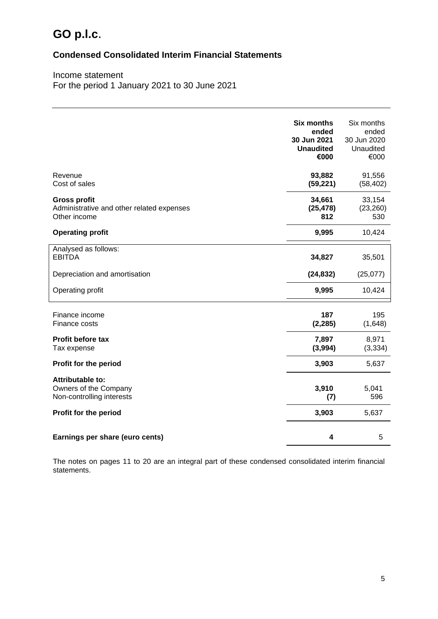## **Condensed Consolidated Interim Financial Statements**

Income statement For the period 1 January 2021 to 30 June 2021

|                                                                                  | <b>Six months</b><br>ended<br>30 Jun 2021<br><b>Unaudited</b><br>€000 | Six months<br>ended<br>30 Jun 2020<br>Unaudited<br>€000 |
|----------------------------------------------------------------------------------|-----------------------------------------------------------------------|---------------------------------------------------------|
| Revenue<br>Cost of sales                                                         | 93,882<br>(59, 221)                                                   | 91,556<br>(58, 402)                                     |
| <b>Gross profit</b><br>Administrative and other related expenses<br>Other income | 34,661<br>(25, 478)<br>812                                            | 33,154<br>(23, 260)<br>530                              |
| <b>Operating profit</b>                                                          | 9,995                                                                 | 10,424                                                  |
| Analysed as follows:<br><b>EBITDA</b>                                            | 34,827                                                                | 35,501                                                  |
| Depreciation and amortisation                                                    | (24, 832)                                                             | (25,077)                                                |
| Operating profit                                                                 | 9,995                                                                 | 10,424                                                  |
| Finance income<br>Finance costs                                                  | 187<br>(2, 285)                                                       | 195<br>(1,648)                                          |
| <b>Profit before tax</b><br>Tax expense                                          | 7,897<br>(3,994)                                                      | 8,971<br>(3, 334)                                       |
| Profit for the period                                                            | 3,903                                                                 | 5,637                                                   |
| Attributable to:<br>Owners of the Company<br>Non-controlling interests           | 3,910<br>(7)                                                          | 5,041<br>596                                            |
| Profit for the period                                                            | 3,903                                                                 | 5,637                                                   |
| Earnings per share (euro cents)                                                  | 4                                                                     | 5                                                       |

The notes on pages 11 to 20 are an integral part of these condensed consolidated interim financial statements.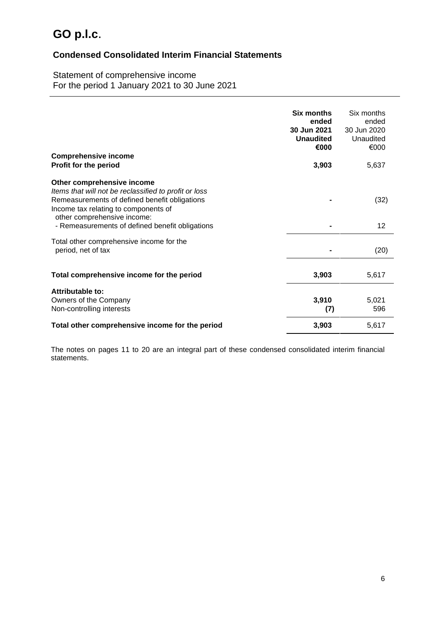### **Condensed Consolidated Interim Financial Statements**

Statement of comprehensive income For the period 1 January 2021 to 30 June 2021

| <b>Comprehensive income</b>                                                                                                                                                                                                                                    | <b>Six months</b><br>ended<br>30 Jun 2021<br><b>Unaudited</b><br>€000 | Six months<br>ended<br>30 Jun 2020<br>Unaudited<br>€000 |
|----------------------------------------------------------------------------------------------------------------------------------------------------------------------------------------------------------------------------------------------------------------|-----------------------------------------------------------------------|---------------------------------------------------------|
| Profit for the period                                                                                                                                                                                                                                          | 3,903                                                                 | 5,637                                                   |
| Other comprehensive income<br>Items that will not be reclassified to profit or loss<br>Remeasurements of defined benefit obligations<br>Income tax relating to components of<br>other comprehensive income:<br>- Remeasurements of defined benefit obligations |                                                                       | (32)<br>12                                              |
| Total other comprehensive income for the<br>period, net of tax                                                                                                                                                                                                 |                                                                       | (20)                                                    |
| Total comprehensive income for the period                                                                                                                                                                                                                      | 3,903                                                                 | 5,617                                                   |
| Attributable to:<br>Owners of the Company<br>Non-controlling interests                                                                                                                                                                                         | 3,910<br>(7)                                                          | 5,021<br>596                                            |
| Total other comprehensive income for the period                                                                                                                                                                                                                | 3,903                                                                 | 5,617                                                   |

The notes on pages 11 to 20 are an integral part of these condensed consolidated interim financial statements.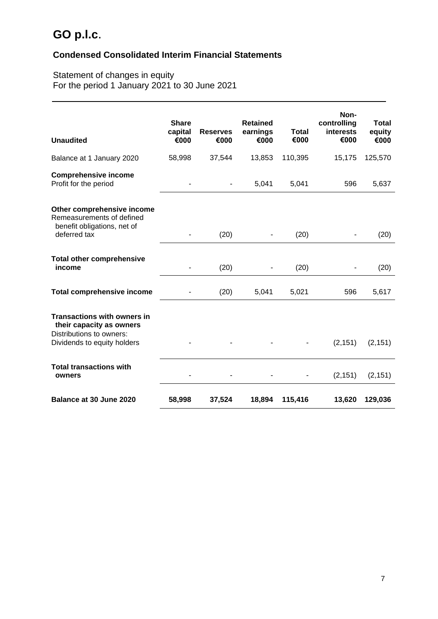## **Condensed Consolidated Interim Financial Statements**

### Statement of changes in equity For the period 1 January 2021 to 30 June 2021

| <b>Unaudited</b>                                                                                                          | <b>Share</b><br>capital<br>€000 | <b>Reserves</b><br>€000 | <b>Retained</b><br>earnings<br>€000 | <b>Total</b><br>€000 | Non-<br>controlling<br><b>interests</b><br>€000 | <b>Total</b><br>equity<br>€000 |
|---------------------------------------------------------------------------------------------------------------------------|---------------------------------|-------------------------|-------------------------------------|----------------------|-------------------------------------------------|--------------------------------|
| Balance at 1 January 2020                                                                                                 | 58,998                          | 37,544                  | 13,853                              | 110,395              | 15,175                                          | 125,570                        |
| <b>Comprehensive income</b><br>Profit for the period                                                                      |                                 |                         | 5,041                               | 5,041                | 596                                             | 5,637                          |
| Other comprehensive income<br>Remeasurements of defined<br>benefit obligations, net of<br>deferred tax                    |                                 | (20)                    |                                     | (20)                 |                                                 | (20)                           |
| <b>Total other comprehensive</b><br>income                                                                                |                                 | (20)                    |                                     | (20)                 |                                                 | (20)                           |
| <b>Total comprehensive income</b>                                                                                         |                                 | (20)                    | 5,041                               | 5,021                | 596                                             | 5,617                          |
| <b>Transactions with owners in</b><br>their capacity as owners<br>Distributions to owners:<br>Dividends to equity holders |                                 |                         |                                     |                      | (2, 151)                                        | (2, 151)                       |
| <b>Total transactions with</b><br>owners                                                                                  |                                 |                         |                                     |                      | (2, 151)                                        | (2, 151)                       |
| Balance at 30 June 2020                                                                                                   | 58,998                          | 37,524                  | 18,894                              | 115,416              | 13,620                                          | 129,036                        |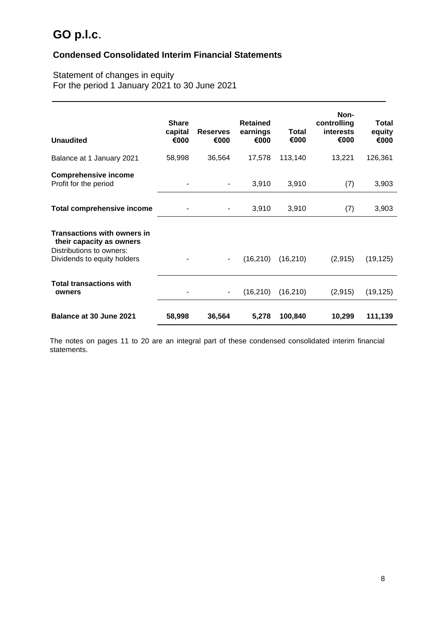## **Condensed Consolidated Interim Financial Statements**

### Statement of changes in equity For the period 1 January 2021 to 30 June 2021

| <b>Unaudited</b>                                                                                                          | <b>Share</b><br>capital<br>€000 | <b>Reserves</b><br>€000  | <b>Retained</b><br>earnings<br>€000 | Total<br>€000 | Non-<br>controlling<br>interests<br>€000 | Total<br>equity<br>€000 |
|---------------------------------------------------------------------------------------------------------------------------|---------------------------------|--------------------------|-------------------------------------|---------------|------------------------------------------|-------------------------|
| Balance at 1 January 2021                                                                                                 | 58,998                          | 36,564                   | 17,578                              | 113,140       | 13,221                                   | 126,361                 |
| <b>Comprehensive income</b><br>Profit for the period                                                                      |                                 | ۰                        | 3,910                               | 3,910         | (7)                                      | 3,903                   |
| <b>Total comprehensive income</b>                                                                                         |                                 | ۰                        | 3,910                               | 3,910         | (7)                                      | 3,903                   |
| <b>Transactions with owners in</b><br>their capacity as owners<br>Distributions to owners:<br>Dividends to equity holders |                                 | $\overline{\phantom{a}}$ | (16, 210)                           | (16, 210)     | (2,915)                                  | (19, 125)               |
| <b>Total transactions with</b><br>owners                                                                                  |                                 | $\overline{\phantom{a}}$ | (16, 210)                           | (16, 210)     | (2,915)                                  | (19, 125)               |
| Balance at 30 June 2021                                                                                                   | 58,998                          | 36,564                   | 5,278                               | 100,840       | 10,299                                   | 111,139                 |

The notes on pages 11 to 20 are an integral part of these condensed consolidated interim financial statements.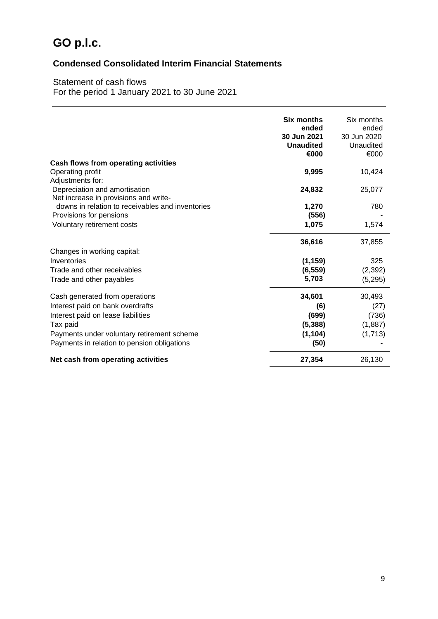## **Condensed Consolidated Interim Financial Statements**

### Statement of cash flows For the period 1 January 2021 to 30 June 2021

|                                                                                            | Six months<br>ended<br>30 Jun 2021<br><b>Unaudited</b><br>€000 | Six months<br>ended<br>30 Jun 2020<br>Unaudited<br>€000 |
|--------------------------------------------------------------------------------------------|----------------------------------------------------------------|---------------------------------------------------------|
| Cash flows from operating activities                                                       |                                                                |                                                         |
| Operating profit                                                                           | 9,995                                                          | 10,424                                                  |
| Adjustments for:<br>Depreciation and amortisation<br>Net increase in provisions and write- | 24,832                                                         | 25,077                                                  |
| downs in relation to receivables and inventories                                           | 1,270                                                          | 780                                                     |
| Provisions for pensions                                                                    | (556)                                                          |                                                         |
| Voluntary retirement costs                                                                 | 1,075                                                          | 1,574                                                   |
|                                                                                            | 36,616                                                         | 37,855                                                  |
| Changes in working capital:                                                                |                                                                |                                                         |
| Inventories                                                                                | (1, 159)                                                       | 325                                                     |
| Trade and other receivables                                                                | (6, 559)                                                       | (2, 392)                                                |
| Trade and other payables                                                                   | 5,703                                                          | (5,295)                                                 |
| Cash generated from operations                                                             | 34,601                                                         | 30,493                                                  |
| Interest paid on bank overdrafts                                                           | (6)                                                            | (27)                                                    |
| Interest paid on lease liabilities                                                         | (699)                                                          | (736)                                                   |
| Tax paid                                                                                   | (5, 388)                                                       | (1,887)                                                 |
| Payments under voluntary retirement scheme                                                 | (1, 104)                                                       | (1,713)                                                 |
| Payments in relation to pension obligations                                                | (50)                                                           |                                                         |
| Net cash from operating activities                                                         | 27,354                                                         | 26,130                                                  |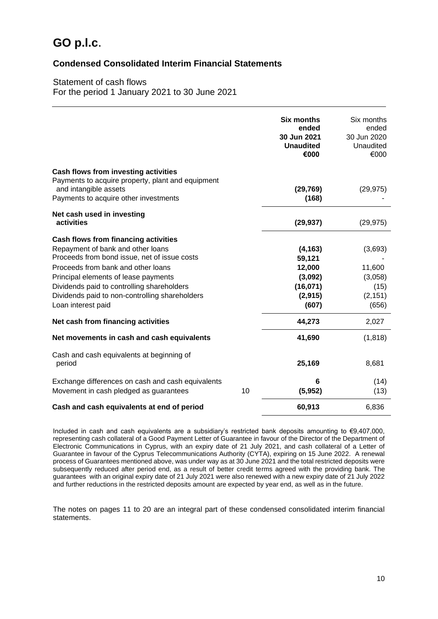### **Condensed Consolidated Interim Financial Statements**

### Statement of cash flows For the period 1 January 2021 to 30 June 2021

|                                                                                                                                                             |    | Six months<br>ended<br>30 Jun 2021<br><b>Unaudited</b><br>€000 | Six months<br>ended<br>30 Jun 2020<br>Unaudited<br>€000 |
|-------------------------------------------------------------------------------------------------------------------------------------------------------------|----|----------------------------------------------------------------|---------------------------------------------------------|
| Cash flows from investing activities<br>Payments to acquire property, plant and equipment<br>and intangible assets<br>Payments to acquire other investments |    | (29, 769)<br>(168)                                             | (29, 975)                                               |
| Net cash used in investing<br>activities                                                                                                                    |    | (29, 937)                                                      | (29, 975)                                               |
| <b>Cash flows from financing activities</b><br>Repayment of bank and other loans<br>Proceeds from bond issue, net of issue costs                            |    | (4, 163)<br>59,121                                             | (3,693)                                                 |
| Proceeds from bank and other loans<br>Principal elements of lease payments                                                                                  |    | 12,000<br>(3,092)                                              | 11,600<br>(3,058)                                       |
| Dividends paid to controlling shareholders<br>Dividends paid to non-controlling shareholders<br>Loan interest paid                                          |    | (16,071)<br>(2, 915)<br>(607)                                  | (15)<br>(2, 151)<br>(656)                               |
| Net cash from financing activities                                                                                                                          |    | 44,273                                                         | 2,027                                                   |
| Net movements in cash and cash equivalents                                                                                                                  |    | 41,690                                                         | (1, 818)                                                |
| Cash and cash equivalents at beginning of<br>period                                                                                                         |    | 25,169                                                         | 8,681                                                   |
| Exchange differences on cash and cash equivalents<br>Movement in cash pledged as guarantees                                                                 | 10 | 6<br>(5, 952)                                                  | (14)<br>(13)                                            |
| Cash and cash equivalents at end of period                                                                                                                  |    | 60,913                                                         | 6,836                                                   |

Included in cash and cash equivalents are a subsidiary's restricted bank deposits amounting to €9,407,000, representing cash collateral of a Good Payment Letter of Guarantee in favour of the Director of the Department of Electronic Communications in Cyprus, with an expiry date of 21 July 2021, and cash collateral of a Letter of Guarantee in favour of the Cyprus Telecommunications Authority (CYTA), expiring on 15 June 2022. A renewal process of Guarantees mentioned above, was under way as at 30 June 2021 and the total restricted deposits were subsequently reduced after period end, as a result of better credit terms agreed with the providing bank. The guarantees with an original expiry date of 21 July 2021 were also renewed with a new expiry date of 21 July 2022 and further reductions in the restricted deposits amount are expected by year end, as well as in the future.

The notes on pages 11 to 20 are an integral part of these condensed consolidated interim financial statements.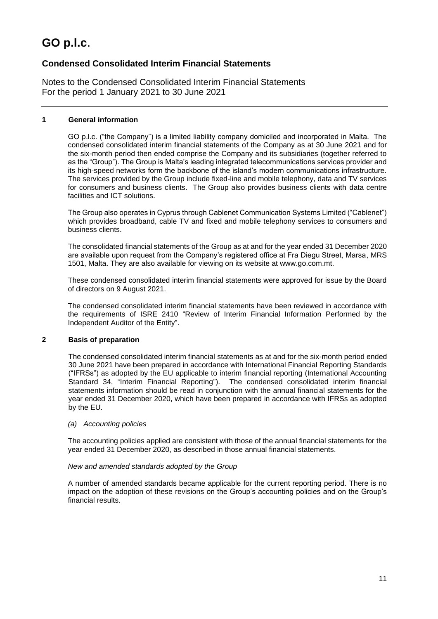## **Condensed Consolidated Interim Financial Statements**

Notes to the Condensed Consolidated Interim Financial Statements For the period 1 January 2021 to 30 June 2021

### **1 General information**

GO p.l.c. ("the Company") is a limited liability company domiciled and incorporated in Malta. The condensed consolidated interim financial statements of the Company as at 30 June 2021 and for the six-month period then ended comprise the Company and its subsidiaries (together referred to as the "Group"). The Group is Malta's leading integrated telecommunications services provider and its high-speed networks form the backbone of the island's modern communications infrastructure. The services provided by the Group include fixed-line and mobile telephony, data and TV services for consumers and business clients. The Group also provides business clients with data centre facilities and ICT solutions.

The Group also operates in Cyprus through Cablenet Communication Systems Limited ("Cablenet") which provides broadband, cable TV and fixed and mobile telephony services to consumers and business clients.

The consolidated financial statements of the Group as at and for the year ended 31 December 2020 are available upon request from the Company's registered office at Fra Diegu Street, Marsa, MRS 1501, Malta. They are also available for viewing on its website at www.go.com.mt.

These condensed consolidated interim financial statements were approved for issue by the Board of directors on 9 August 2021.

The condensed consolidated interim financial statements have been reviewed in accordance with the requirements of ISRE 2410 "Review of Interim Financial Information Performed by the Independent Auditor of the Entity".

### **2 Basis of preparation**

The condensed consolidated interim financial statements as at and for the six-month period ended 30 June 2021 have been prepared in accordance with International Financial Reporting Standards ("IFRSs") as adopted by the EU applicable to interim financial reporting (International Accounting Standard 34, "Interim Financial Reporting"). The condensed consolidated interim financial statements information should be read in conjunction with the annual financial statements for the year ended 31 December 2020, which have been prepared in accordance with IFRSs as adopted by the EU.

### *(a) Accounting policies*

The accounting policies applied are consistent with those of the annual financial statements for the year ended 31 December 2020, as described in those annual financial statements.

### *New and amended standards adopted by the Group*

A number of amended standards became applicable for the current reporting period. There is no impact on the adoption of these revisions on the Group's accounting policies and on the Group's financial results.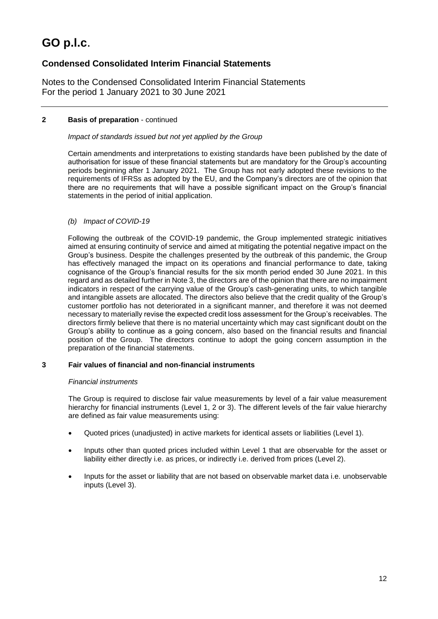## **Condensed Consolidated Interim Financial Statements**

Notes to the Condensed Consolidated Interim Financial Statements For the period 1 January 2021 to 30 June 2021

### **2 Basis of preparation** - continued

### *Impact of standards issued but not yet applied by the Group*

Certain amendments and interpretations to existing standards have been published by the date of authorisation for issue of these financial statements but are mandatory for the Group's accounting periods beginning after 1 January 2021. The Group has not early adopted these revisions to the requirements of IFRSs as adopted by the EU, and the Company's directors are of the opinion that there are no requirements that will have a possible significant impact on the Group's financial statements in the period of initial application.

### *(b) Impact of COVID-19*

Following the outbreak of the COVID-19 pandemic, the Group implemented strategic initiatives aimed at ensuring continuity of service and aimed at mitigating the potential negative impact on the Group's business. Despite the challenges presented by the outbreak of this pandemic, the Group has effectively managed the impact on its operations and financial performance to date, taking cognisance of the Group's financial results for the six month period ended 30 June 2021. In this regard and as detailed further in Note 3, the directors are of the opinion that there are no impairment indicators in respect of the carrying value of the Group's cash-generating units, to which tangible and intangible assets are allocated. The directors also believe that the credit quality of the Group's customer portfolio has not deteriorated in a significant manner, and therefore it was not deemed necessary to materially revise the expected credit loss assessment for the Group's receivables. The directors firmly believe that there is no material uncertainty which may cast significant doubt on the Group's ability to continue as a going concern, also based on the financial results and financial position of the Group. The directors continue to adopt the going concern assumption in the preparation of the financial statements.

### **3 Fair values of financial and non-financial instruments**

### *Financial instruments*

The Group is required to disclose fair value measurements by level of a fair value measurement hierarchy for financial instruments (Level 1, 2 or 3). The different levels of the fair value hierarchy are defined as fair value measurements using:

- Quoted prices (unadjusted) in active markets for identical assets or liabilities (Level 1).
- Inputs other than quoted prices included within Level 1 that are observable for the asset or liability either directly i.e. as prices, or indirectly i.e. derived from prices (Level 2).
- Inputs for the asset or liability that are not based on observable market data i.e. unobservable inputs (Level 3).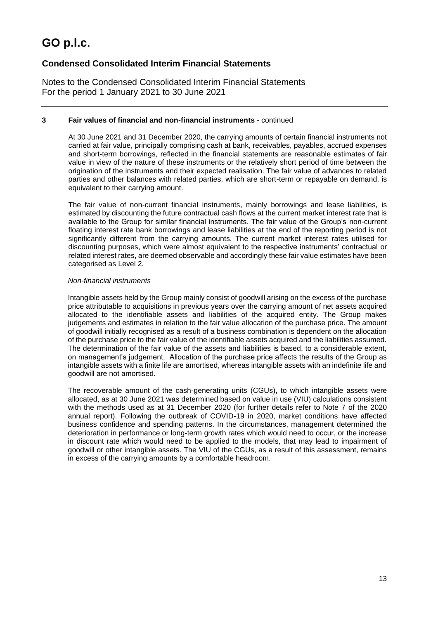## **Condensed Consolidated Interim Financial Statements**

Notes to the Condensed Consolidated Interim Financial Statements For the period 1 January 2021 to 30 June 2021

### **3 Fair values of financial and non-financial instruments** - continued

At 30 June 2021 and 31 December 2020, the carrying amounts of certain financial instruments not carried at fair value, principally comprising cash at bank, receivables, payables, accrued expenses and short-term borrowings, reflected in the financial statements are reasonable estimates of fair value in view of the nature of these instruments or the relatively short period of time between the origination of the instruments and their expected realisation. The fair value of advances to related parties and other balances with related parties, which are short-term or repayable on demand, is equivalent to their carrying amount.

The fair value of non-current financial instruments, mainly borrowings and lease liabilities, is estimated by discounting the future contractual cash flows at the current market interest rate that is available to the Group for similar financial instruments. The fair value of the Group's non-current floating interest rate bank borrowings and lease liabilities at the end of the reporting period is not significantly different from the carrying amounts. The current market interest rates utilised for discounting purposes, which were almost equivalent to the respective instruments' contractual or related interest rates, are deemed observable and accordingly these fair value estimates have been categorised as Level 2.

### *Non-financial instruments*

Intangible assets held by the Group mainly consist of goodwill arising on the excess of the purchase price attributable to acquisitions in previous years over the carrying amount of net assets acquired allocated to the identifiable assets and liabilities of the acquired entity. The Group makes judgements and estimates in relation to the fair value allocation of the purchase price. The amount of goodwill initially recognised as a result of a business combination is dependent on the allocation of the purchase price to the fair value of the identifiable assets acquired and the liabilities assumed. The determination of the fair value of the assets and liabilities is based, to a considerable extent, on management's judgement. Allocation of the purchase price affects the results of the Group as intangible assets with a finite life are amortised, whereas intangible assets with an indefinite life and goodwill are not amortised.

The recoverable amount of the cash-generating units (CGUs), to which intangible assets were allocated, as at 30 June 2021 was determined based on value in use (VIU) calculations consistent with the methods used as at 31 December 2020 (for further details refer to Note 7 of the 2020 annual report). Following the outbreak of COVID-19 in 2020, market conditions have affected business confidence and spending patterns. In the circumstances, management determined the deterioration in performance or long-term growth rates which would need to occur, or the increase in discount rate which would need to be applied to the models, that may lead to impairment of goodwill or other intangible assets. The VIU of the CGUs, as a result of this assessment, remains in excess of the carrying amounts by a comfortable headroom.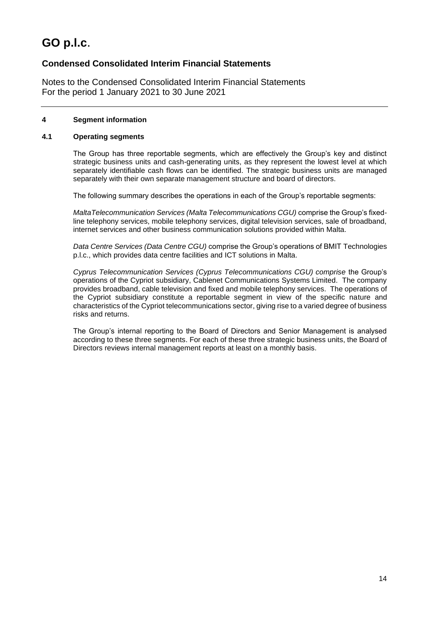## **Condensed Consolidated Interim Financial Statements**

Notes to the Condensed Consolidated Interim Financial Statements For the period 1 January 2021 to 30 June 2021

### **4 Segment information**

### **4.1 Operating segments**

The Group has three reportable segments, which are effectively the Group's key and distinct strategic business units and cash-generating units, as they represent the lowest level at which separately identifiable cash flows can be identified. The strategic business units are managed separately with their own separate management structure and board of directors.

The following summary describes the operations in each of the Group's reportable segments:

*MaltaTelecommunication Services (Malta Telecommunications CGU)* comprise the Group's fixedline telephony services, mobile telephony services, digital television services, sale of broadband, internet services and other business communication solutions provided within Malta.

*Data Centre Services (Data Centre CGU)* comprise the Group's operations of BMIT Technologies p.l.c., which provides data centre facilities and ICT solutions in Malta.

*Cyprus Telecommunication Services (Cyprus Telecommunications CGU) comprise* the Group's operations of the Cypriot subsidiary, Cablenet Communications Systems Limited. The company provides broadband, cable television and fixed and mobile telephony services. The operations of the Cypriot subsidiary constitute a reportable segment in view of the specific nature and characteristics of the Cypriot telecommunications sector, giving rise to a varied degree of business risks and returns.

The Group's internal reporting to the Board of Directors and Senior Management is analysed according to these three segments. For each of these three strategic business units, the Board of Directors reviews internal management reports at least on a monthly basis.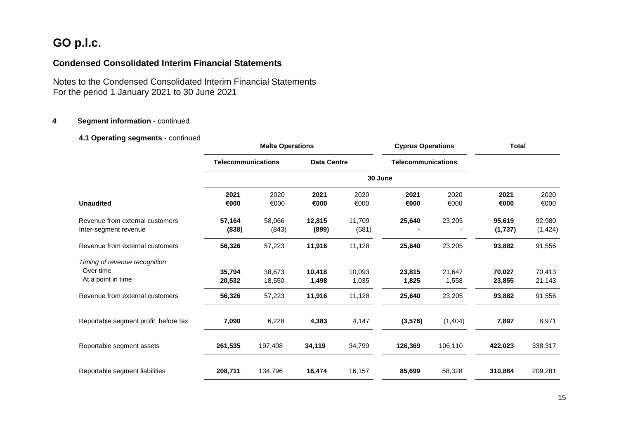### **Condensed Consolidated Interim Financial Statements**

Notes to the Condensed Consolidated Interim Financial Statements For the period 1 January 2021 to 30 June 2021

### **4 Segment information** - continued

### **4.1 Operating segments** - continued

|                                                                  |                           | <b>Malta Operations</b> |                    |                 | <b>Cyprus Operations</b>  |                 | <b>Total</b>      |                    |
|------------------------------------------------------------------|---------------------------|-------------------------|--------------------|-----------------|---------------------------|-----------------|-------------------|--------------------|
|                                                                  | <b>Telecommunications</b> |                         | <b>Data Centre</b> |                 | <b>Telecommunications</b> |                 |                   |                    |
|                                                                  |                           |                         |                    | 30 June         |                           |                 |                   |                    |
| <b>Unaudited</b>                                                 | 2021<br>€000              | 2020<br>€000            | 2021<br>€000       | 2020<br>€000    | 2021<br>€000              | 2020<br>€000    | 2021<br>€000      | 2020<br>€000       |
| Revenue from external customers<br>Inter-segment revenue         | 57,164<br>(838)           | 58,066<br>(843)         | 12,815<br>(899)    | 11,709<br>(581) | 25,640                    | 23,205          | 95,619<br>(1,737) | 92,980<br>(1, 424) |
| Revenue from external customers                                  | 56,326                    | 57,223                  | 11,916             | 11,128          | 25,640                    | 23,205          | 93,882            | 91,556             |
| Timing of revenue recognition<br>Over time<br>At a point in time | 35,794<br>20,532          | 38,673<br>18,550        | 10,418<br>1,498    | 10,093<br>1,035 | 23,815<br>1,825           | 21,647<br>1,558 | 70,027<br>23,855  | 70,413<br>21,143   |
| Revenue from external customers                                  | 56,326                    | 57,223                  | 11,916             | 11,128          | 25,640                    | 23,205          | 93,882            | 91,556             |
| Reportable segment profit before tax                             | 7,090                     | 6,228                   | 4,383              | 4,147           | (3, 576)                  | (1,404)         | 7,897             | 8,971              |
| Reportable segment assets                                        | 261,535                   | 197,408                 | 34,119             | 34,799          | 126,369                   | 106,110         | 422,023           | 338,317            |
| Reportable segment liabilities                                   | 208,711                   | 134,796                 | 16,474             | 16,157          | 85,699                    | 58,328          | 310,884           | 209,281            |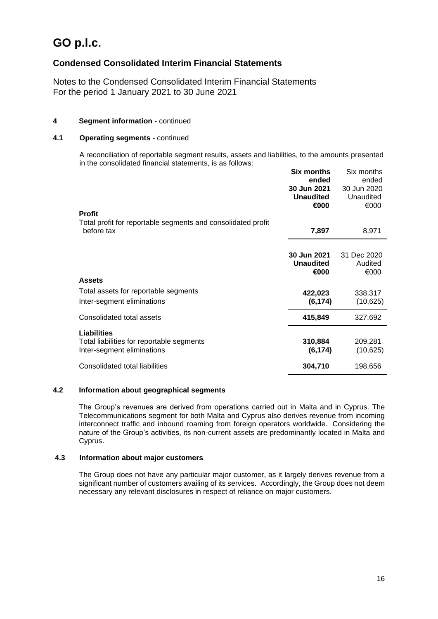### **Condensed Consolidated Interim Financial Statements**

Notes to the Condensed Consolidated Interim Financial Statements For the period 1 January 2021 to 30 June 2021

### **4 Segment information** - continued

### **4.1 Operating segments** - continued

A reconciliation of reportable segment results, assets and liabilities, to the amounts presented in the consolidated financial statements, is as follows:

| <b>Profit</b>                                                                                 | <b>Six months</b><br>ended<br>30 Jun 2021<br><b>Unaudited</b><br>€000 | Six months<br>ended<br>30 Jun 2020<br>Unaudited<br>€000 |
|-----------------------------------------------------------------------------------------------|-----------------------------------------------------------------------|---------------------------------------------------------|
| Total profit for reportable segments and consolidated profit<br>before tax                    | 7,897                                                                 | 8,971                                                   |
|                                                                                               | 30 Jun 2021<br><b>Unaudited</b><br>€000                               | 31 Dec 2020<br>Audited<br>€000                          |
| <b>Assets</b>                                                                                 |                                                                       |                                                         |
| Total assets for reportable segments                                                          | 422,023                                                               | 338,317                                                 |
| Inter-segment eliminations                                                                    | (6, 174)                                                              | (10, 625)                                               |
| Consolidated total assets                                                                     | 415,849                                                               | 327,692                                                 |
| <b>Liabilities</b><br>Total liabilities for reportable segments<br>Inter-segment eliminations | 310,884<br>(6, 174)                                                   | 209,281<br>(10, 625)                                    |
| Consolidated total liabilities                                                                | 304,710                                                               | 198,656                                                 |

### **4.2 Information about geographical segments**

The Group's revenues are derived from operations carried out in Malta and in Cyprus. The Telecommunications segment for both Malta and Cyprus also derives revenue from incoming interconnect traffic and inbound roaming from foreign operators worldwide. Considering the nature of the Group's activities, its non-current assets are predominantly located in Malta and Cyprus.

### **4.3 Information about major customers**

The Group does not have any particular major customer, as it largely derives revenue from a significant number of customers availing of its services. Accordingly, the Group does not deem necessary any relevant disclosures in respect of reliance on major customers.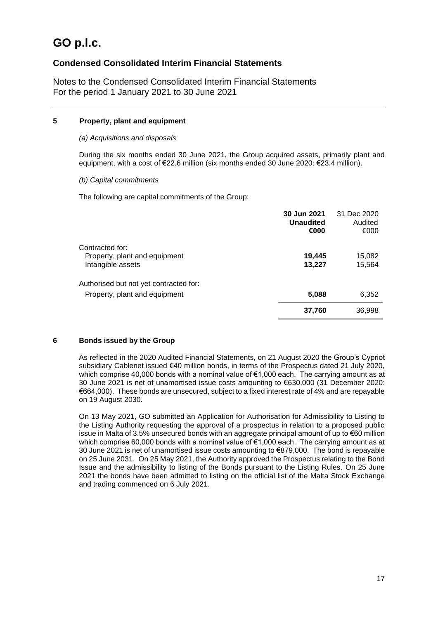### **Condensed Consolidated Interim Financial Statements**

Notes to the Condensed Consolidated Interim Financial Statements For the period 1 January 2021 to 30 June 2021

### **5 Property, plant and equipment**

### *(a) Acquisitions and disposals*

During the six months ended 30 June 2021, the Group acquired assets, primarily plant and equipment, with a cost of €22.6 million (six months ended 30 June 2020: €23.4 million).

### *(b) Capital commitments*

The following are capital commitments of the Group:

|                                                                         | 30 Jun 2021<br><b>Unaudited</b><br>€000 | 31 Dec 2020<br>Audited<br>€000 |
|-------------------------------------------------------------------------|-----------------------------------------|--------------------------------|
| Contracted for:<br>Property, plant and equipment<br>Intangible assets   | 19,445<br>13,227                        | 15,082<br>15,564               |
| Authorised but not yet contracted for:<br>Property, plant and equipment | 5,088                                   | 6,352                          |
|                                                                         | 37,760                                  | 36,998                         |

### **6 Bonds issued by the Group**

As reflected in the 2020 Audited Financial Statements, on 21 August 2020 the Group's Cypriot subsidiary Cablenet issued €40 million bonds, in terms of the Prospectus dated 21 July 2020, which comprise 40,000 bonds with a nominal value of €1,000 each. The carrying amount as at 30 June 2021 is net of unamortised issue costs amounting to €630,000 (31 December 2020: €664,000). These bonds are unsecured, subject to a fixed interest rate of 4% and are repayable on 19 August 2030.

On 13 May 2021, GO submitted an Application for Authorisation for Admissibility to Listing to the Listing Authority requesting the approval of a prospectus in relation to a proposed public issue in Malta of 3.5% unsecured bonds with an aggregate principal amount of up to €60 million which comprise 60,000 bonds with a nominal value of  $\epsilon$ 1,000 each. The carrying amount as at 30 June 2021 is net of unamortised issue costs amounting to €879,000. The bond is repayable on 25 June 2031. On 25 May 2021, the Authority approved the Prospectus relating to the Bond Issue and the admissibility to listing of the Bonds pursuant to the Listing Rules. On 25 June 2021 the bonds have been admitted to listing on the official list of the Malta Stock Exchange and trading commenced on 6 July 2021.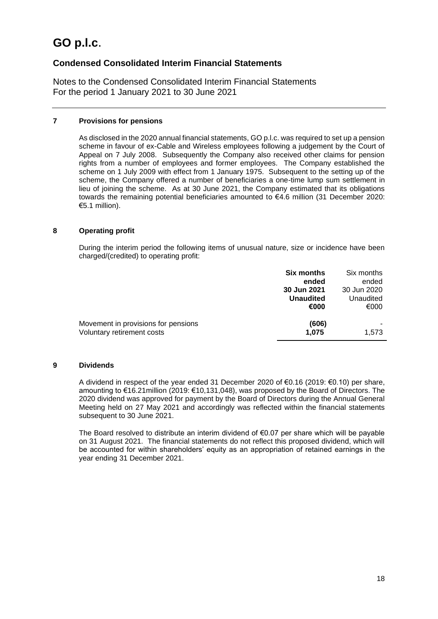### **Condensed Consolidated Interim Financial Statements**

Notes to the Condensed Consolidated Interim Financial Statements For the period 1 January 2021 to 30 June 2021

### **7 Provisions for pensions**

As disclosed in the 2020 annual financial statements, GO p.l.c. was required to set up a pension scheme in favour of ex-Cable and Wireless employees following a judgement by the Court of Appeal on 7 July 2008. Subsequently the Company also received other claims for pension rights from a number of employees and former employees. The Company established the scheme on 1 July 2009 with effect from 1 January 1975. Subsequent to the setting up of the scheme, the Company offered a number of beneficiaries a one-time lump sum settlement in lieu of joining the scheme. As at 30 June 2021, the Company estimated that its obligations towards the remaining potential beneficiaries amounted to €4.6 million (31 December 2020: €5.1 million).

### **8 Operating profit**

During the interim period the following items of unusual nature, size or incidence have been charged/(credited) to operating profit:

|                                                                   | <b>Six months</b><br>ended<br>30 Jun 2021<br><b>Unaudited</b><br>€000 | Six months<br>ended<br>30 Jun 2020<br>Unaudited<br>€000 |
|-------------------------------------------------------------------|-----------------------------------------------------------------------|---------------------------------------------------------|
| Movement in provisions for pensions<br>Voluntary retirement costs | (606)<br>1.075                                                        | 1,573                                                   |

### **9 Dividends**

A dividend in respect of the year ended 31 December 2020 of €0.16 (2019: €0.10) per share, amounting to €16.21million (2019: €10,131,048), was proposed by the Board of Directors. The 2020 dividend was approved for payment by the Board of Directors during the Annual General Meeting held on 27 May 2021 and accordingly was reflected within the financial statements subsequent to 30 June 2021.

The Board resolved to distribute an interim dividend of  $\epsilon$ 0.07 per share which will be payable on 31 August 2021. The financial statements do not reflect this proposed dividend, which will be accounted for within shareholders' equity as an appropriation of retained earnings in the year ending 31 December 2021.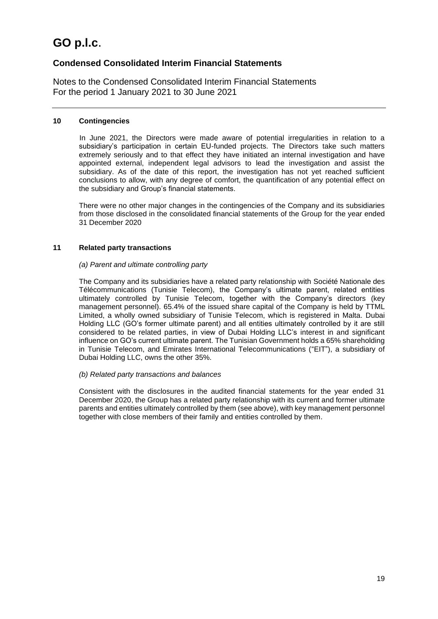### **Condensed Consolidated Interim Financial Statements**

Notes to the Condensed Consolidated Interim Financial Statements For the period 1 January 2021 to 30 June 2021

#### **10 Contingencies**

In June 2021, the Directors were made aware of potential irregularities in relation to a subsidiary's participation in certain EU-funded projects. The Directors take such matters extremely seriously and to that effect they have initiated an internal investigation and have appointed external, independent legal advisors to lead the investigation and assist the subsidiary. As of the date of this report, the investigation has not yet reached sufficient conclusions to allow, with any degree of comfort, the quantification of any potential effect on the subsidiary and Group's financial statements.

There were no other major changes in the contingencies of the Company and its subsidiaries from those disclosed in the consolidated financial statements of the Group for the year ended 31 December 2020

### **11 Related party transactions**

#### *(a) Parent and ultimate controlling party*

The Company and its subsidiaries have a related party relationship with Société Nationale des Télécommunications (Tunisie Telecom), the Company's ultimate parent, related entities ultimately controlled by Tunisie Telecom, together with the Company's directors (key management personnel). 65.4% of the issued share capital of the Company is held by TTML Limited, a wholly owned subsidiary of Tunisie Telecom, which is registered in Malta. Dubai Holding LLC (GO's former ultimate parent) and all entities ultimately controlled by it are still considered to be related parties, in view of Dubai Holding LLC's interest in and significant influence on GO's current ultimate parent. The Tunisian Government holds a 65% shareholding in Tunisie Telecom, and Emirates International Telecommunications ("EIT"), a subsidiary of Dubai Holding LLC, owns the other 35%.

#### *(b) Related party transactions and balances*

Consistent with the disclosures in the audited financial statements for the year ended 31 December 2020, the Group has a related party relationship with its current and former ultimate parents and entities ultimately controlled by them (see above), with key management personnel together with close members of their family and entities controlled by them.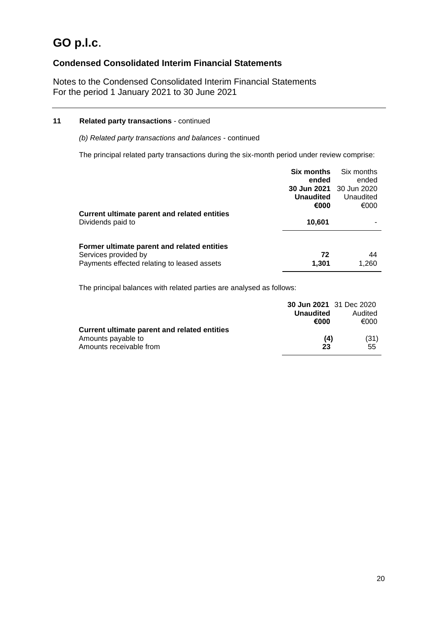## **Condensed Consolidated Interim Financial Statements**

Notes to the Condensed Consolidated Interim Financial Statements For the period 1 January 2021 to 30 June 2021

### **11 Related party transactions** - continued

*(b) Related party transactions and balances* - continued

The principal related party transactions during the six-month period under review comprise:

|                                              | Six months<br>ended            | Six months<br>ended |
|----------------------------------------------|--------------------------------|---------------------|
|                                              | <b>30 Jun 2021</b> 30 Jun 2020 |                     |
|                                              | <b>Unaudited</b>               | Unaudited           |
|                                              | €000                           | €000                |
| Current ultimate parent and related entities |                                |                     |
| Dividends paid to                            | 10.601                         |                     |
| Former ultimate parent and related entities  |                                |                     |
| Services provided by                         | 72                             | 44                  |
| Payments effected relating to leased assets  | 1,301                          | 1,260               |

The principal balances with related parties are analysed as follows:

|                                              | <b>30 Jun 2021</b> 31 Dec 2020 |         |
|----------------------------------------------|--------------------------------|---------|
|                                              | <b>Unaudited</b>               | Audited |
|                                              | €000                           | €000    |
| Current ultimate parent and related entities |                                |         |
| Amounts payable to                           | (4)                            | (31)    |
| Amounts receivable from                      | 23                             | 55      |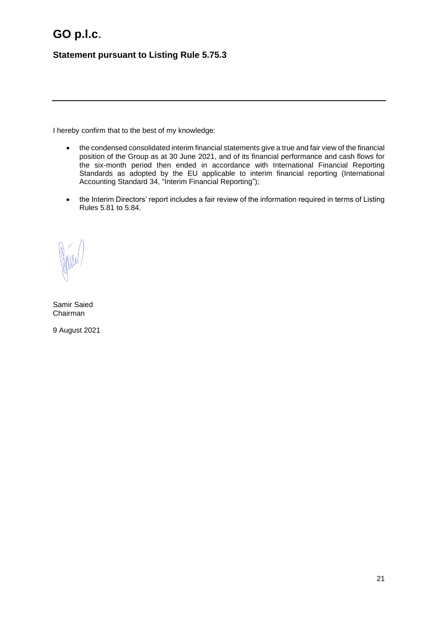## **Statement pursuant to Listing Rule 5.75.3**

I hereby confirm that to the best of my knowledge:

- the condensed consolidated interim financial statements give a true and fair view of the financial position of the Group as at 30 June 2021, and of its financial performance and cash flows for the six-month period then ended in accordance with International Financial Reporting Standards as adopted by the EU applicable to interim financial reporting (International Accounting Standard 34, "Interim Financial Reporting");
- the Interim Directors' report includes a fair review of the information required in terms of Listing Rules 5.81 to 5.84.

Samir Saied Chairman

9 August 2021